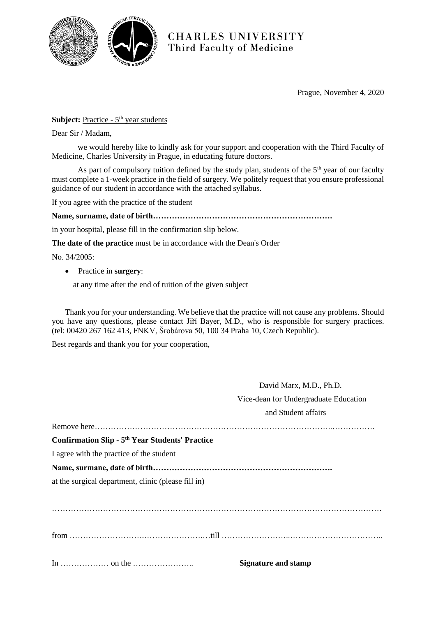

**CHARLES UNIVERSITY** Third Faculty of Medicine

Prague, November 4, 2020

## **Subject:** Practice - 5<sup>th</sup> year students

Dear Sir / Madam,

we would hereby like to kindly ask for your support and cooperation with the Third Faculty of Medicine, Charles University in Prague, in educating future doctors.

As part of compulsory tuition defined by the study plan, students of the  $5<sup>th</sup>$  year of our faculty must complete a 1-week practice in the field of surgery. We politely request that you ensure professional guidance of our student in accordance with the attached syllabus.

If you agree with the practice of the student

**Name, surname, date of birth………………………………………………………….**

in your hospital, please fill in the confirmation slip below.

**The date of the practice** must be in accordance with the Dean's Order

No. 34/2005:

Practice in **surgery**:

at any time after the end of tuition of the given subject

Thank you for your understanding. We believe that the practice will not cause any problems. Should you have any questions, please contact Jiří Bayer, M.D., who is responsible for surgery practices. (tel: 00420 267 162 413, FNKV, Šrobárova 50, 100 34 Praha 10, Czech Republic).

Best regards and thank you for your cooperation,

|                                                        | David Marx, M.D., Ph.D.               |
|--------------------------------------------------------|---------------------------------------|
|                                                        | Vice-dean for Undergraduate Education |
|                                                        | and Student affairs                   |
|                                                        |                                       |
| <b>Confirmation Slip - 5th Year Students' Practice</b> |                                       |
| I agree with the practice of the student               |                                       |
|                                                        |                                       |
| at the surgical department, clinic (please fill in)    |                                       |
|                                                        |                                       |
|                                                        |                                       |
|                                                        |                                       |
|                                                        |                                       |
|                                                        |                                       |
|                                                        | <b>Signature and stamp</b>            |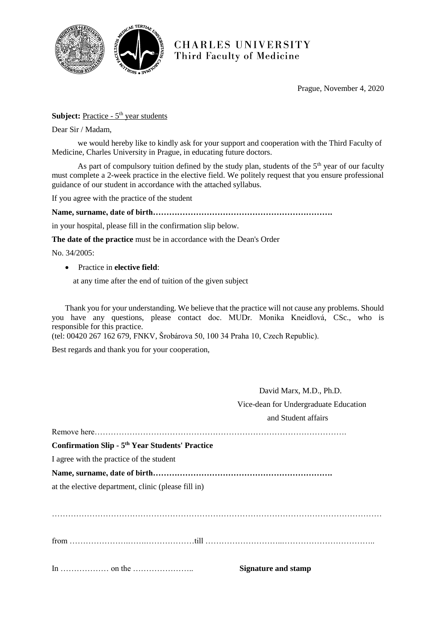

**CHARLES UNIVERSITY** Third Faculty of Medicine

Prague, November 4, 2020

## **Subject:** Practice - 5<sup>th</sup> year students

Dear Sir / Madam,

we would hereby like to kindly ask for your support and cooperation with the Third Faculty of Medicine, Charles University in Prague, in educating future doctors.

As part of compulsory tuition defined by the study plan, students of the  $5<sup>th</sup>$  year of our faculty must complete a 2-week practice in the elective field. We politely request that you ensure professional guidance of our student in accordance with the attached syllabus.

If you agree with the practice of the student

**Name, surname, date of birth………………………………………………………….**

in your hospital, please fill in the confirmation slip below.

**The date of the practice** must be in accordance with the Dean's Order

No. 34/2005:

Practice in **elective field**:

at any time after the end of tuition of the given subject

Thank you for your understanding. We believe that the practice will not cause any problems. Should you have any questions, please contact doc. MUDr. Monika Kneidlová, CSc., who is responsible for this practice.

(tel: 00420 267 162 679, FNKV, Šrobárova 50, 100 34 Praha 10, Czech Republic).

Best regards and thank you for your cooperation,

 David Marx, M.D., Ph.D. Vice-dean for Undergraduate Education and Student affairs

Remove here…………………………………………………………………………………. **Confirmation Slip - 5 th Year Students' Practice** I agree with the practice of the student **Name, surname, date of birth………………………………………………………….** at the elective department, clinic (please fill in) …………………………………………………………………………………………………………… from ………………….…….………………till ………………………..……………………………..

In ……………… on the ………………….. **Signature and stamp**